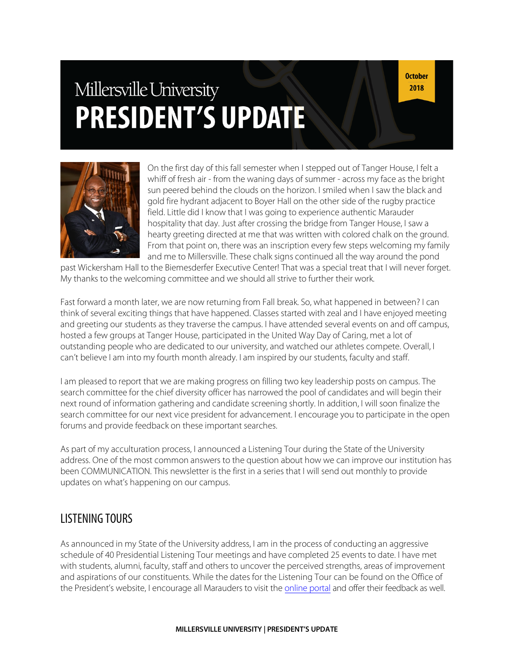# Millersville University **PRESIDENT'S UPDATE**

**October** 2018



On the first day of this fall semester when I stepped out of Tanger House, I felt a whiff of fresh air - from the waning days of summer - across my face as the bright sun peered behind the clouds on the horizon. I smiled when I saw the black and gold fire hydrant adjacent to Boyer Hall on the other side of the rugby practice field. Little did I know that I was going to experience authentic Marauder hospitality that day. Just after crossing the bridge from Tanger House, I saw a hearty greeting directed at me that was written with colored chalk on the ground. From that point on, there was an inscription every few steps welcoming my family and me to Millersville. These chalk signs continued all the way around the pond

past Wickersham Hall to the Biemesderfer Executive Center! That was a special treat that I will never forget. My thanks to the welcoming committee and we should all strive to further their work.

Fast forward a month later, we are now returning from Fall break. So, what happened in between? I can think of several exciting things that have happened. Classes started with zeal and I have enjoyed meeting and greeting our students as they traverse the campus. I have attended several events on and off campus, hosted a few groups at Tanger House, participated in the United Way Day of Caring, met a lot of outstanding people who are dedicated to our university, and watched our athletes compete. Overall, I can't believe I am into my fourth month already. I am inspired by our students, faculty and staff.

I am pleased to report that we are making progress on filling two key leadership posts on campus. The search committee for the chief diversity officer has narrowed the pool of candidates and will begin their next round of information gathering and candidate screening shortly. In addition, I will soon finalize the search committee for our next vice president for advancement. I encourage you to participate in the open forums and provide feedback on these important searches.

As part of my acculturation process, I announced a Listening Tour during the State of the University address. One of the most common answers to the question about how we can improve our institution has been COMMUNICATION. This newsletter is the first in a series that I will send out monthly to provide updates on what's happening on our campus.

## LISTENING TOURS

As announced in my State of the University address, I am in the process of conducting an aggressive schedule of 40 Presidential Listening Tour meetings and have completed 25 events to date. I have met with students, alumni, faculty, staff and others to uncover the perceived strengths, areas of improvement and aspirations of our constituents. While the dates for the Listening Tour can be found on the Office of the President's website, I encourage all Marauders to visit the [online](https://www.millersville.edu/president/listening-tour.php) portal and offer their feedback as well.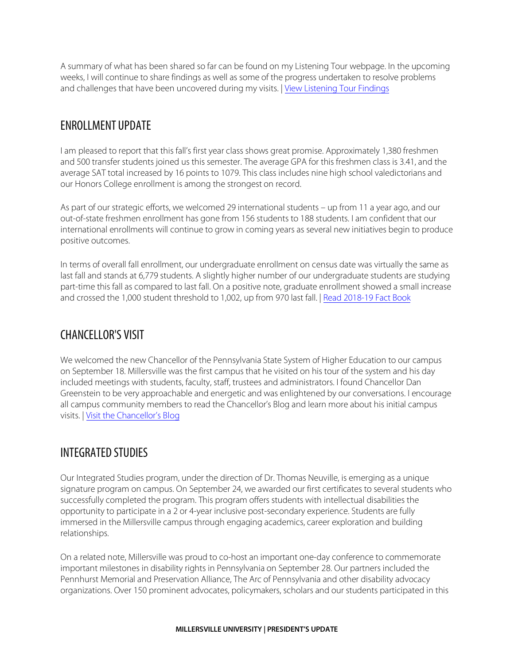A summary of what has been shared so far can be found on my Listening Tour webpage. In the upcoming weeks, I will continue to share findings as well as some of the progress undertaken to resolve problems and challenges that have been uncovered during my visits. | View [Listening](https://www.millersville.edu/president/listening-tour.php) Tour Findings

## ENROLLMENT UPDATE

I am pleased to report that this fall's first year class shows great promise. Approximately 1,380 freshmen and 500 transfer students joined us this semester. The average GPA for this freshmen class is 3.41, and the average SAT total increased by 16 points to 1079. This class includes nine high school valedictorians and our Honors College enrollment is among the strongest on record.

As part of our strategic efforts, we welcomed 29 international students – up from 11 a year ago, and our out-of-state freshmen enrollment has gone from 156 students to 188 students. I am confident that our international enrollments will continue to grow in coming years as several new initiatives begin to produce positive outcomes.

In terms of overall fall enrollment, our undergraduate enrollment on census date was virtually the same as last fall and stands at 6,779 students. A slightly higher number of our undergraduate students are studying part-time this fall as compared to last fall. On a positive note, graduate enrollment showed a small increase and crossed the 1,000 student threshold to 1,002, up from 970 last fall. | Read [2018-19 Fact](https://www.millersville.edu/iea/ir/factbooks/1819/index.php) Book

## CHANCELLOR'S VISIT

We welcomed the new Chancellor of the Pennsylvania State System of Higher Education to our campus on September 18. Millersville was the first campus that he visited on his tour of the system and his day included meetings with students, faculty, staff, trustees and administrators. I found Chancellor Dan Greenstein to be very approachable and energetic and was enlightened by our conversations. I encourage all campus community members to read the Chancellor's Blog and learn more about his initial campus visits. | Visit [the Chancellor's](https://chancellorgreenstein.blogspot.com) Blog

# INTEGRATED STUDIES

Our Integrated Studies program, under the direction of Dr. Thomas Neuville, is emerging as a unique signature program on campus. On September 24, we awarded our first certificates to several students who successfully completed the program. This program offers students with intellectual disabilities the opportunity to participate in a 2 or 4-year inclusive post-secondary experience. Students are fully immersed in the Millersville campus through engaging academics, career exploration and building relationships.

On a related note, Millersville was proud to co-host an important one-day conference to commemorate important milestones in disability rights in Pennsylvania on September 28. Our partners included the Pennhurst Memorial and Preservation Alliance, The Arc of Pennsylvania and other disability advocacy organizations. Over 150 prominent advocates, policymakers, scholars and our students participated in this